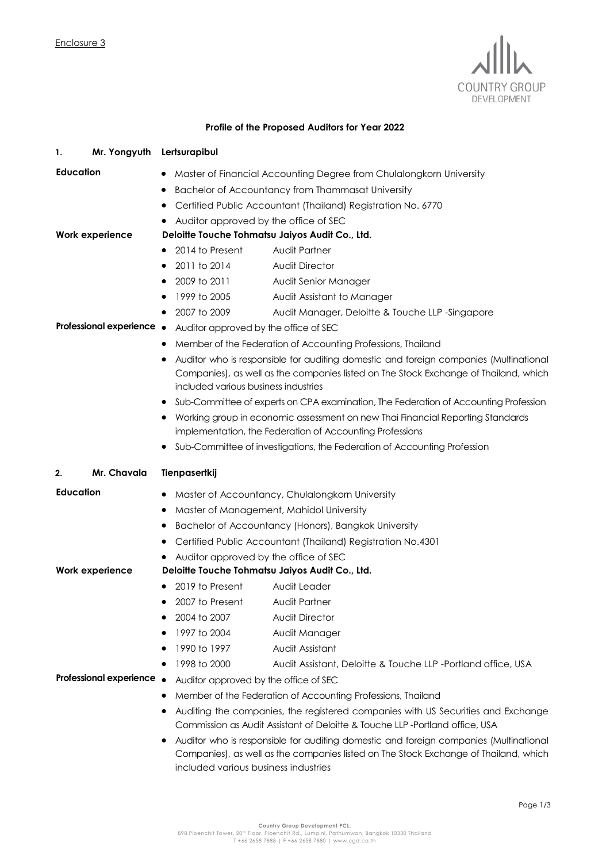

## **Profile of the Proposed Auditors for Year 2022**

| Mr. Yongyuth<br>1.        | Lertsurapibul                                                                                                                                                                                                         |                                                                                                                                            |  |
|---------------------------|-----------------------------------------------------------------------------------------------------------------------------------------------------------------------------------------------------------------------|--------------------------------------------------------------------------------------------------------------------------------------------|--|
| <b>Education</b>          | Master of Financial Accounting Degree from Chulalongkorn University                                                                                                                                                   |                                                                                                                                            |  |
|                           | Bachelor of Accountancy from Thammasat University<br>$\bullet$                                                                                                                                                        |                                                                                                                                            |  |
|                           | Certified Public Accountant (Thailand) Registration No. 6770                                                                                                                                                          |                                                                                                                                            |  |
|                           | Auditor approved by the office of SEC                                                                                                                                                                                 |                                                                                                                                            |  |
| Work experience           | Deloitte Touche Tohmatsu Jaiyos Audit Co., Ltd.                                                                                                                                                                       |                                                                                                                                            |  |
|                           | 2014 to Present<br>٠                                                                                                                                                                                                  | Audit Partner                                                                                                                              |  |
|                           | 2011 to 2014<br>٠                                                                                                                                                                                                     | <b>Audit Director</b>                                                                                                                      |  |
|                           | 2009 to 2011                                                                                                                                                                                                          | Audit Senior Manager                                                                                                                       |  |
|                           | 1999 to 2005                                                                                                                                                                                                          | Audit Assistant to Manager                                                                                                                 |  |
|                           | 2007 to 2009                                                                                                                                                                                                          | Audit Manager, Deloitte & Touche LLP -Singapore                                                                                            |  |
| Professional experience • | Auditor approved by the office of SEC                                                                                                                                                                                 |                                                                                                                                            |  |
|                           | Member of the Federation of Accounting Professions, Thailand                                                                                                                                                          |                                                                                                                                            |  |
|                           | Auditor who is responsible for auditing domestic and foreign companies (Multinational<br>Companies), as well as the companies listed on The Stock Exchange of Thailand, which<br>included various business industries |                                                                                                                                            |  |
|                           | Sub-Committee of experts on CPA examination, The Federation of Accounting Profession<br>$\bullet$                                                                                                                     |                                                                                                                                            |  |
|                           | ٠                                                                                                                                                                                                                     | Working group in economic assessment on new Thai Financial Reporting Standards<br>implementation, the Federation of Accounting Professions |  |
|                           |                                                                                                                                                                                                                       | Sub-Committee of investigations, the Federation of Accounting Profession                                                                   |  |
| Mr. Chavala<br>2.         | Tienpasertkij                                                                                                                                                                                                         |                                                                                                                                            |  |
| <b>Education</b>          | Master of Accountancy, Chulalongkorn University<br>٠<br>Master of Management, Mahidol University                                                                                                                      |                                                                                                                                            |  |
|                           |                                                                                                                                                                                                                       |                                                                                                                                            |  |
|                           |                                                                                                                                                                                                                       | Bachelor of Accountancy (Honors), Bangkok University                                                                                       |  |
|                           |                                                                                                                                                                                                                       | Certified Public Accountant (Thailand) Registration No.4301                                                                                |  |
|                           | Auditor approved by the office of SEC                                                                                                                                                                                 |                                                                                                                                            |  |
| Work experience           | Deloitte Touche Tohmatsu Jaiyos Audit Co., Ltd.                                                                                                                                                                       |                                                                                                                                            |  |
|                           | 2019 to Present                                                                                                                                                                                                       | Audit Leader                                                                                                                               |  |
|                           | 2007 to Present                                                                                                                                                                                                       | Audit Partner                                                                                                                              |  |
|                           | 2004 to 2007                                                                                                                                                                                                          | <b>Audit Director</b>                                                                                                                      |  |
|                           | 1997 to 2004                                                                                                                                                                                                          | Audit Manager                                                                                                                              |  |
|                           | 1990 to 1997                                                                                                                                                                                                          | Audit Assistant                                                                                                                            |  |
|                           | 1998 to 2000                                                                                                                                                                                                          | Audit Assistant, Deloitte & Touche LLP -Portland office, USA                                                                               |  |
| Professional experience   | Auditor approved by the office of SEC                                                                                                                                                                                 |                                                                                                                                            |  |
|                           | Member of the Federation of Accounting Professions, Thailand                                                                                                                                                          |                                                                                                                                            |  |
|                           | Auditing the companies, the registered companies with US Securities and Exchange<br>Commission as Audit Assistant of Deloitte & Touche LLP-Portland office, USA                                                       |                                                                                                                                            |  |
|                           |                                                                                                                                                                                                                       | Auditor who is responsible for auditing domestic and foreign companies (Multinational                                                      |  |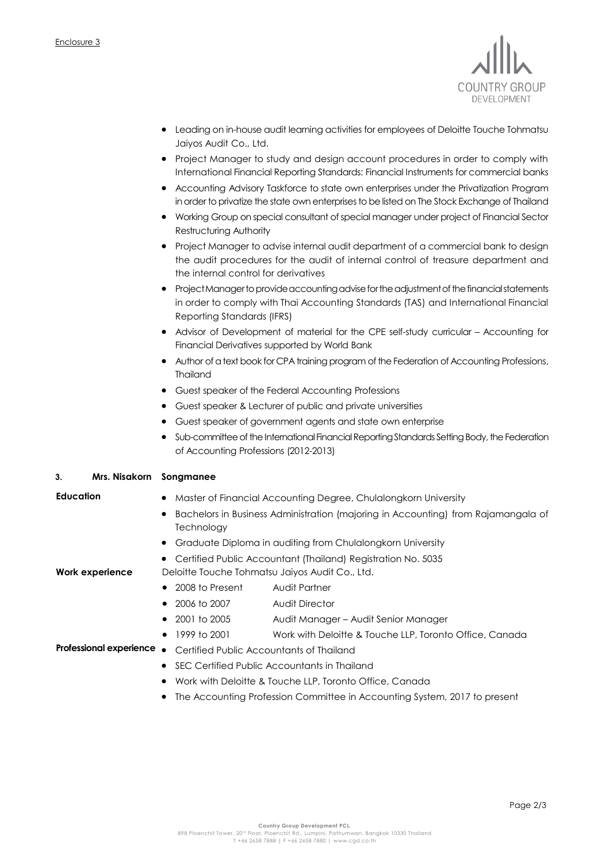

- Leading on in-house audit learning activities for employees of Deloitte Touche Tohmatsu Jaiyos Audit Co., Ltd.
- Project Manager to study and design account procedures in order to comply with International Financial Reporting Standards: Financial Instruments for commercial banks
- Accounting Advisory Taskforce to state own enterprises under the Privatization Program in order to privatize the state own enterprises to be listed on The Stock Exchange of Thailand
- Working Group on special consultant of special manager under project of Financial Sector Restructuring Authority
- Project Manager to advise internal audit department of a commercial bank to design the audit procedures for the audit of internal control of treasure department and the internal control for derivatives
- Project Manager to provide accounting advise for the adjustment of the financial statements in order to comply with Thai Accounting Standards (TAS) and International Financial Reporting Standards (IFRS)
- Advisor of Development of material for the CPE self-study curricular Accounting for Financial Derivatives supported by World Bank
- Author of a text book for CPA training program of the Federation of Accounting Professions, Thailand
- Guest speaker of the Federal Accounting Professions
- Guest speaker & Lecturer of public and private universities
- Guest speaker of government agents and state own enterprise
- Sub-committee of the International Financial Reporting Standards Setting Body, the Federation of Accounting Professions (2012-2013)

## **3. Mrs. Nisakorn Songmanee**

- 
- **Education** Master of Financial Accounting Degree, Chulalongkorn University
	- **•** Bachelors in Business Administration (majoring in Accounting) from Rajamangala of **Technology**
	- Graduate Diploma in auditing from Chulalongkorn University
	- Certified Public Accountant (Thailand) Registration No. 5035

**Work experience** Deloitte Touche Tohmatsu Jaiyos Audit Co., Ltd.

- 2008 to Present Audit Partner
- 2006 to 2007 Audit Director
- 2001 to 2005 Audit Manager Audit Senior Manager
- 1999 to 2001 Work with Deloitte & Touche LLP, Toronto Office, Canada

## **Professional experience .** Certified Public Accountants of Thailand

- SEC Certified Public Accountants in Thailand
- Work with Deloitte & Touche LLP, Toronto Office, Canada
- The Accounting Profession Committee in Accounting System, 2017 to present